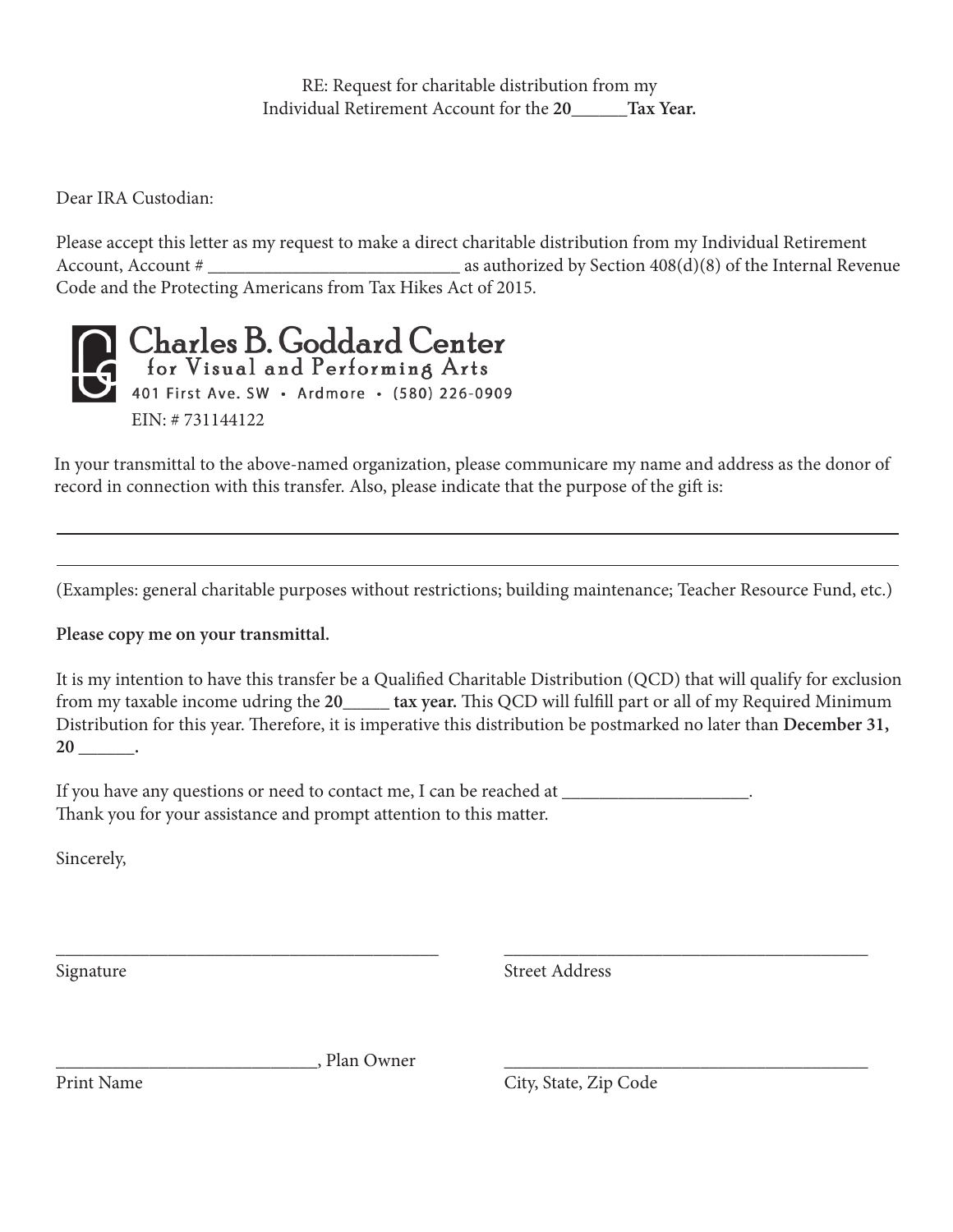RE: Request for charitable distribution from my Individual Retirement Account for the **20\_\_\_\_\_\_Tax Year.** 

Dear IRA Custodian:

Please accept this letter as my request to make a direct charitable distribution from my Individual Retirement Account, Account # \_\_\_\_\_\_\_\_\_\_\_\_\_\_\_\_\_\_\_\_\_\_\_\_\_\_\_ as authorized by Section 408(d)(8) of the Internal Revenue Code and the Protecting Americans from Tax Hikes Act of 2015.



In your transmittal to the above-named organization, please communicare my name and address as the donor of record in connection with this transfer. Also, please indicate that the purpose of the gift is:

(Examples: general charitable purposes without restrictions; building maintenance; Teacher Resource Fund, etc.)

**Please copy me on your transmittal.** 

It is my intention to have this transfer be a Qualified Charitable Distribution (QCD) that will qualify for exclusion from my taxable income udring the **20\_\_\_\_\_ tax year.** This QCD will fulfill part or all of my Required Minimum Distribution for this year. Therefore, it is imperative this distribution be postmarked no later than **December 31, 20 \_\_\_\_\_\_.** 

\_\_\_\_\_\_\_\_\_\_\_\_\_\_\_\_\_\_\_\_\_\_\_\_\_\_\_\_\_\_\_\_\_\_\_\_\_\_\_\_\_ \_\_\_\_\_\_\_\_\_\_\_\_\_\_\_\_\_\_\_\_\_\_\_\_\_\_\_\_\_\_\_\_\_\_\_\_\_\_\_

If you have any questions or need to contact me, I can be reached at  $\Box$ Thank you for your assistance and prompt attention to this matter.

Sincerely,

Signature Street Address

, Plan Owner

Print Name City, State, Zip Code